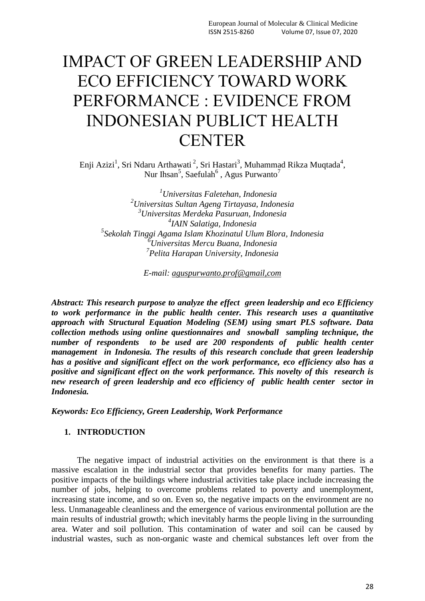# IMPACT OF GREEN LEADERSHIP AND ECO EFFICIENCY TOWARD WORK PERFORMANCE : EVIDENCE FROM INDONESIAN PUBLICT HEALTH **CENTER**

Enji Azizi<sup>1</sup>, Sri Ndaru Arthawati<sup>2</sup>, Sri Hastari<sup>3</sup>, Muhammad Rikza Muqtada<sup>4</sup>, Nur Ihsan<sup>5</sup>, Saefulah<sup>6</sup>, Agus Purwanto<sup>7</sup>

*ni<sup>6</sup> <sup>1</sup>Universitas Faletehan, Indonesia Universitas Sultan Ageng Tirtayasa, Indonesia Universitas Merdeka Pasuruan, Indonesia IAIN Salatiga, Indonesia Sekolah Tinggi Agama Islam Khozinatul Ulum Blora, Indonesia Universitas Mercu Buana, Indonesia Pelita Harapan University, Indonesia*

*E-mail: aguspurwanto.prof@gmail,com*

*Abstract: This research purpose to analyze the effect green leadership and eco Efficiency to work performance in the public health center. This research uses a quantitative approach with Structural Equation Modeling (SEM) using smart PLS software. Data collection methods using online questionnaires and snowball sampling technique, the number of respondents to be used are 200 respondents of public health center management in Indonesia. The results of this research conclude that green leadership has a positive and significant effect on the work performance, eco efficiency also has a positive and significant effect on the work performance. This novelty of this research is new research of green leadership and eco efficiency of public health center sector in Indonesia.*

*Keywords: Eco Efficiency, Green Leadership, Work Performance*

## **1. INTRODUCTION**

The negative impact of industrial activities on the environment is that there is a massive escalation in the industrial sector that provides benefits for many parties. The positive impacts of the buildings where industrial activities take place include increasing the number of jobs, helping to overcome problems related to poverty and unemployment, increasing state income, and so on. Even so, the negative impacts on the environment are no less. Unmanageable cleanliness and the emergence of various environmental pollution are the main results of industrial growth; which inevitably harms the people living in the surrounding area. Water and soil pollution. This contamination of water and soil can be caused by industrial wastes, such as non-organic waste and chemical substances left over from the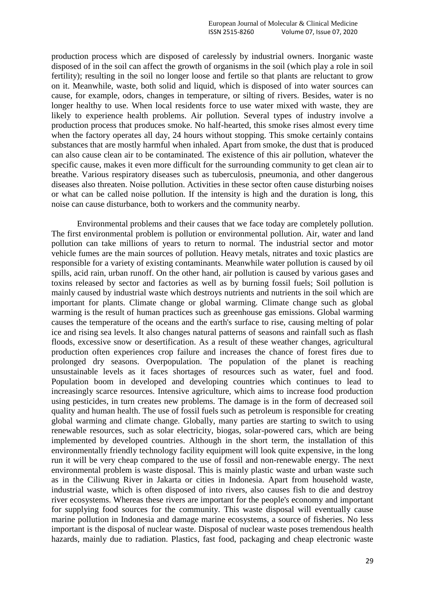production process which are disposed of carelessly by industrial owners. Inorganic waste disposed of in the soil can affect the growth of organisms in the soil (which play a role in soil fertility); resulting in the soil no longer loose and fertile so that plants are reluctant to grow on it. Meanwhile, waste, both solid and liquid, which is disposed of into water sources can cause, for example, odors, changes in temperature, or silting of rivers. Besides, water is no longer healthy to use. When local residents force to use water mixed with waste, they are likely to experience health problems. Air pollution. Several types of industry involve a production process that produces smoke. No half-hearted, this smoke rises almost every time when the factory operates all day, 24 hours without stopping. This smoke certainly contains substances that are mostly harmful when inhaled. Apart from smoke, the dust that is produced can also cause clean air to be contaminated. The existence of this air pollution, whatever the specific cause, makes it even more difficult for the surrounding community to get clean air to breathe. Various respiratory diseases such as tuberculosis, pneumonia, and other dangerous diseases also threaten. Noise pollution. Activities in these sector often cause disturbing noises or what can be called noise pollution. If the intensity is high and the duration is long, this noise can cause disturbance, both to workers and the community nearby.

Environmental problems and their causes that we face today are completely pollution. The first environmental problem is pollution or environmental pollution. Air, water and land pollution can take millions of years to return to normal. The industrial sector and motor vehicle fumes are the main sources of pollution. Heavy metals, nitrates and toxic plastics are responsible for a variety of existing contaminants. Meanwhile water pollution is caused by oil spills, acid rain, urban runoff. On the other hand, air pollution is caused by various gases and toxins released by sector and factories as well as by burning fossil fuels; Soil pollution is mainly caused by industrial waste which destroys nutrients and nutrients in the soil which are important for plants. Climate change or global warming. Climate change such as global warming is the result of human practices such as greenhouse gas emissions. Global warming causes the temperature of the oceans and the earth's surface to rise, causing melting of polar ice and rising sea levels. It also changes natural patterns of seasons and rainfall such as flash floods, excessive snow or desertification. As a result of these weather changes, agricultural production often experiences crop failure and increases the chance of forest fires due to prolonged dry seasons. Overpopulation. The population of the planet is reaching unsustainable levels as it faces shortages of resources such as water, fuel and food. Population boom in developed and developing countries which continues to lead to increasingly scarce resources. Intensive agriculture, which aims to increase food production using pesticides, in turn creates new problems. The damage is in the form of decreased soil quality and human health. The use of fossil fuels such as petroleum is responsible for creating global warming and climate change. Globally, many parties are starting to switch to using renewable resources, such as solar electricity, biogas, solar-powered cars, which are being implemented by developed countries. Although in the short term, the installation of this environmentally friendly technology facility equipment will look quite expensive, in the long run it will be very cheap compared to the use of fossil and non-renewable energy. The next environmental problem is waste disposal. This is mainly plastic waste and urban waste such as in the Ciliwung River in Jakarta or cities in Indonesia. Apart from household waste, industrial waste, which is often disposed of into rivers, also causes fish to die and destroy river ecosystems. Whereas these rivers are important for the people's economy and important for supplying food sources for the community. This waste disposal will eventually cause marine pollution in Indonesia and damage marine ecosystems, a source of fisheries. No less important is the disposal of nuclear waste. Disposal of nuclear waste poses tremendous health hazards, mainly due to radiation. Plastics, fast food, packaging and cheap electronic waste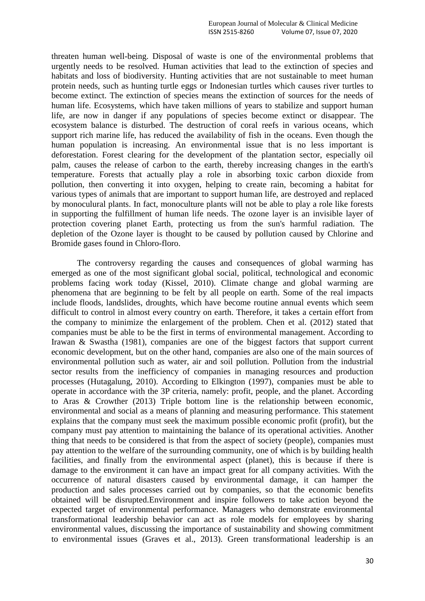threaten human well-being. Disposal of waste is one of the environmental problems that urgently needs to be resolved. Human activities that lead to the extinction of species and habitats and loss of biodiversity. Hunting activities that are not sustainable to meet human protein needs, such as hunting turtle eggs or Indonesian turtles which causes river turtles to become extinct. The extinction of species means the extinction of sources for the needs of human life. Ecosystems, which have taken millions of years to stabilize and support human life, are now in danger if any populations of species become extinct or disappear. The ecosystem balance is disturbed. The destruction of coral reefs in various oceans, which support rich marine life, has reduced the availability of fish in the oceans. Even though the human population is increasing. An environmental issue that is no less important is deforestation. Forest clearing for the development of the plantation sector, especially oil palm, causes the release of carbon to the earth, thereby increasing changes in the earth's temperature. Forests that actually play a role in absorbing toxic carbon dioxide from pollution, then converting it into oxygen, helping to create rain, becoming a habitat for various types of animals that are important to support human life, are destroyed and replaced by monoculural plants. In fact, monoculture plants will not be able to play a role like forests in supporting the fulfillment of human life needs. The ozone layer is an invisible layer of protection covering planet Earth, protecting us from the sun's harmful radiation. The depletion of the Ozone layer is thought to be caused by pollution caused by Chlorine and Bromide gases found in Chloro-floro.

The controversy regarding the causes and consequences of global warming has emerged as one of the most significant global social, political, technological and economic problems facing work today (Kissel, 2010). Climate change and global warming are phenomena that are beginning to be felt by all people on earth. Some of the real impacts include floods, landslides, droughts, which have become routine annual events which seem difficult to control in almost every country on earth. Therefore, it takes a certain effort from the company to minimize the enlargement of the problem. Chen et al. (2012) stated that companies must be able to be the first in terms of environmental management. According to Irawan & Swastha (1981), companies are one of the biggest factors that support current economic development, but on the other hand, companies are also one of the main sources of environmental pollution such as water, air and soil pollution. Pollution from the industrial sector results from the inefficiency of companies in managing resources and production processes (Hutagalung, 2010). According to Elkington (1997), companies must be able to operate in accordance with the 3P criteria, namely: profit, people, and the planet. According to Aras & Crowther (2013) Triple bottom line is the relationship between economic, environmental and social as a means of planning and measuring performance. This statement explains that the company must seek the maximum possible economic profit (profit), but the company must pay attention to maintaining the balance of its operational activities. Another thing that needs to be considered is that from the aspect of society (people), companies must pay attention to the welfare of the surrounding community, one of which is by building health facilities, and finally from the environmental aspect (planet), this is because if there is damage to the environment it can have an impact great for all company activities. With the occurrence of natural disasters caused by environmental damage, it can hamper the production and sales processes carried out by companies, so that the economic benefits obtained will be disrupted.Environment and inspire followers to take action beyond the expected target of environmental performance. Managers who demonstrate environmental transformational leadership behavior can act as role models for employees by sharing environmental values, discussing the importance of sustainability and showing commitment to environmental issues (Graves et al., 2013). Green transformational leadership is an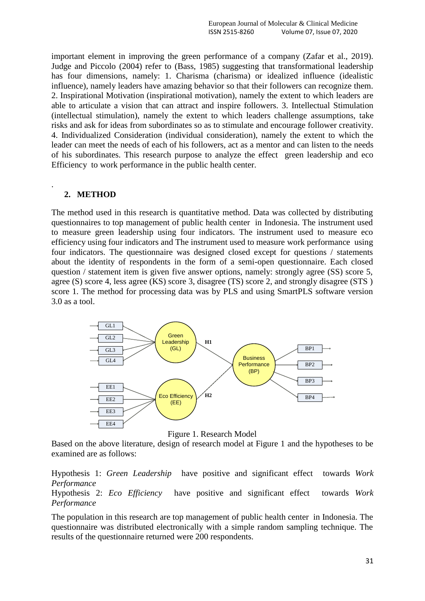important element in improving the green performance of a company (Zafar et al., 2019). Judge and Piccolo (2004) refer to (Bass, 1985) suggesting that transformational leadership has four dimensions, namely: 1. Charisma (charisma) or idealized influence (idealistic influence), namely leaders have amazing behavior so that their followers can recognize them. 2. Inspirational Motivation (inspirational motivation), namely the extent to which leaders are able to articulate a vision that can attract and inspire followers. 3. Intellectual Stimulation (intellectual stimulation), namely the extent to which leaders challenge assumptions, take risks and ask for ideas from subordinates so as to stimulate and encourage follower creativity. 4. Individualized Consideration (individual consideration), namely the extent to which the leader can meet the needs of each of his followers, act as a mentor and can listen to the needs of his subordinates. This research purpose to analyze the effect green leadership and eco Efficiency to work performance in the public health center.

## **2. METHOD**

.

The method used in this research is quantitative method. Data was collected by distributing questionnaires to top management of public health center in Indonesia. The instrument used to measure green leadership using four indicators. The instrument used to measure eco efficiency using four indicators and The instrument used to measure work performance using four indicators. The questionnaire was designed closed except for questions / statements about the identity of respondents in the form of a semi-open questionnaire. Each closed question / statement item is given five answer options, namely: strongly agree (SS) score 5, agree (S) score 4, less agree (KS) score 3, disagree (TS) score 2, and strongly disagree (STS ) score 1. The method for processing data was by PLS and using SmartPLS software version 3.0 as a tool.



Figure 1. Research Model

Based on the above literature, design of research model at Figure 1 and the hypotheses to be examined are as follows:

Hypothesis 1: *Green Leadership* have positive and significant effect towards *Work Performance*

Hypothesis 2: *Eco Efficiency* have positive and significant effect towards *Work Performance*

The population in this research are top management of public health center in Indonesia. The questionnaire was distributed electronically with a simple random sampling technique. The results of the questionnaire returned were 200 respondents.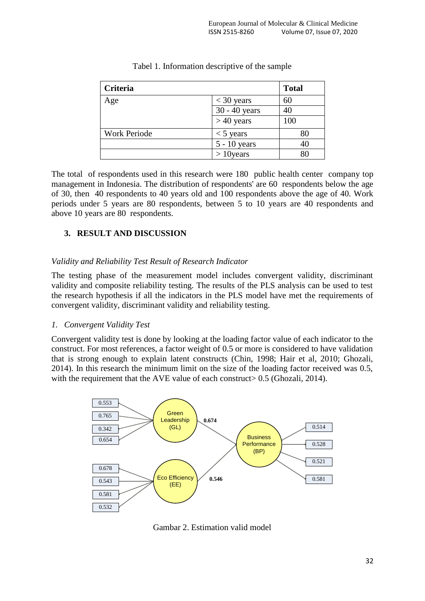| Criteria            |               | <b>Total</b> |
|---------------------|---------------|--------------|
| Age                 | $<$ 30 years  | 60           |
|                     | 30 - 40 years | 40           |
|                     | $> 40$ years  | 100          |
| <b>Work Periode</b> | $<$ 5 years   | 80           |
|                     | 5 - 10 years  | 40           |
|                     | $>10$ years   | 80           |

| Tabel 1. Information descriptive of the sample |  |  |
|------------------------------------------------|--|--|

The total of respondents used in this research were 180 public health center company top management in Indonesia. The distribution of respondents' are 60 respondents below the age of 30, then 40 respondents to 40 years old and 100 respondents above the age of 40. Work periods under 5 years are 80 respondents, between 5 to 10 years are 40 respondents and above 10 years are 80 respondents.

# **3. RESULT AND DISCUSSION**

## *Validity and Reliability Test Result of Research Indicator*

The testing phase of the measurement model includes convergent validity, discriminant validity and composite reliability testing. The results of the PLS analysis can be used to test the research hypothesis if all the indicators in the PLS model have met the requirements of convergent validity, discriminant validity and reliability testing.

## *1. Convergent Validity Test*

Convergent validity test is done by looking at the loading factor value of each indicator to the construct. For most references, a factor weight of 0.5 or more is considered to have validation that is strong enough to explain latent constructs (Chin, 1998; Hair et al, 2010; Ghozali, 2014). In this research the minimum limit on the size of the loading factor received was 0.5, with the requirement that the AVE value of each construct  $> 0.5$  (Ghozali, 2014).



Gambar 2. Estimation valid model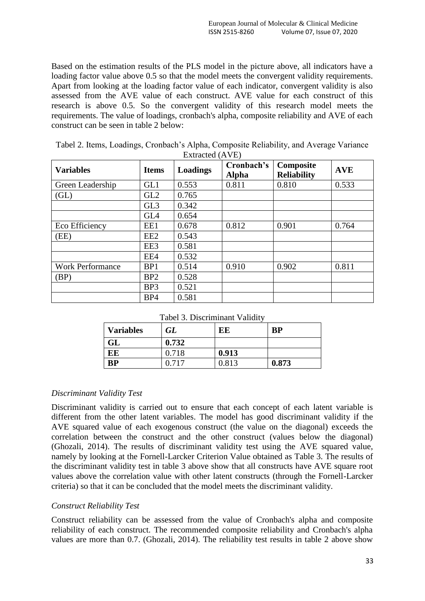Based on the estimation results of the PLS model in the picture above, all indicators have a loading factor value above 0.5 so that the model meets the convergent validity requirements. Apart from looking at the loading factor value of each indicator, convergent validity is also assessed from the AVE value of each construct. AVE value for each construct of this research is above 0.5. So the convergent validity of this research model meets the requirements. The value of loadings, cronbach's alpha, composite reliability and AVE of each construct can be seen in table 2 below:

| <b>Variables</b>        | <b>Items</b>    | <b>Loadings</b> | Cronbach's<br><b>Alpha</b> | Composite<br><b>Reliability</b> | <b>AVE</b> |
|-------------------------|-----------------|-----------------|----------------------------|---------------------------------|------------|
| Green Leadership        | GL1             | 0.553           | 0.811                      | 0.810                           | 0.533      |
| (GL)                    | GL <sub>2</sub> | 0.765           |                            |                                 |            |
|                         | GL <sub>3</sub> | 0.342           |                            |                                 |            |
|                         | GL4             | 0.654           |                            |                                 |            |
| Eco Efficiency          | EE1             | 0.678           | 0.812                      | 0.901                           | 0.764      |
| (EE)                    | EE <sub>2</sub> | 0.543           |                            |                                 |            |
|                         | EE3             | 0.581           |                            |                                 |            |
|                         | EE4             | 0.532           |                            |                                 |            |
| <b>Work Performance</b> | BP1             | 0.514           | 0.910                      | 0.902                           | 0.811      |
| (BP)                    | BP2             | 0.528           |                            |                                 |            |
|                         | BP <sub>3</sub> | 0.521           |                            |                                 |            |
|                         | BP4             | 0.581           |                            |                                 |            |

Tabel 2. Items, Loadings, Cronbach's Alpha, Composite Reliability, and Average Variance  $E_{\text{vtracted}}/(\Lambda \text{VE})$ 

Tabel 3. Discriminant Validity

| <b>Variables</b> | GL    | EE    | <b>BP</b> |
|------------------|-------|-------|-----------|
| GL               | 0.732 |       |           |
| EE               | 0.718 | 0.913 |           |
| <b>BP</b>        | በ 717 | 0.813 | 0.873     |

## *Discriminant Validity Test*

Discriminant validity is carried out to ensure that each concept of each latent variable is different from the other latent variables. The model has good discriminant validity if the AVE squared value of each exogenous construct (the value on the diagonal) exceeds the correlation between the construct and the other construct (values below the diagonal) (Ghozali, 2014). The results of discriminant validity test using the AVE squared value, namely by looking at the Fornell-Larcker Criterion Value obtained as Table 3. The results of the discriminant validity test in table 3 above show that all constructs have AVE square root values above the correlation value with other latent constructs (through the Fornell-Larcker criteria) so that it can be concluded that the model meets the discriminant validity.

## *Construct Reliability Test*

Construct reliability can be assessed from the value of Cronbach's alpha and composite reliability of each construct. The recommended composite reliability and Cronbach's alpha values are more than 0.7. (Ghozali, 2014). The reliability test results in table 2 above show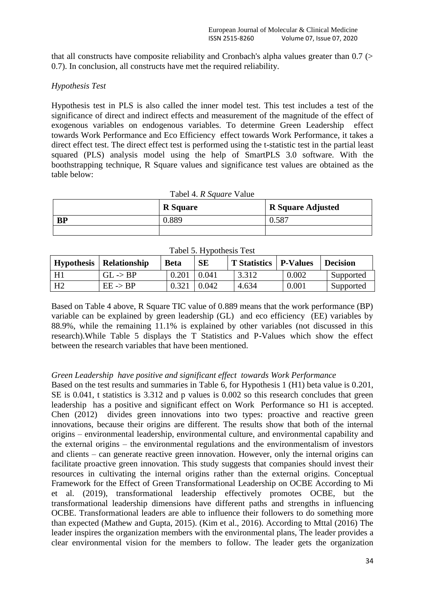that all constructs have composite reliability and Cronbach's alpha values greater than 0.7 (> 0.7). In conclusion, all constructs have met the required reliability.

## *Hypothesis Test*

Hypothesis test in PLS is also called the inner model test. This test includes a test of the significance of direct and indirect effects and measurement of the magnitude of the effect of exogenous variables on endogenous variables. To determine Green Leadership effect towards Work Performance and Eco Efficiency effect towards Work Performance, it takes a direct effect test. The direct effect test is performed using the t-statistic test in the partial least squared (PLS) analysis model using the help of SmartPLS 3.0 software. With the boothstrapping technique, R Square values and significance test values are obtained as the table below:

| Tabel 4. R Square Value |                 |                          |  |  |
|-------------------------|-----------------|--------------------------|--|--|
|                         | <b>R</b> Square | <b>R</b> Square Adjusted |  |  |
| <b>BP</b>               | 0.889           | 0.587                    |  |  |
|                         |                 |                          |  |  |

| Tabel 5. Hypothesis Test |  |  |  |
|--------------------------|--|--|--|
|--------------------------|--|--|--|

| <b>Hypothesis</b> | <b>Relationship</b> | <b>Beta</b> | <b>SE</b> | <b>T</b> Statistics   P-Values |       | <b>Decision</b> |
|-------------------|---------------------|-------------|-----------|--------------------------------|-------|-----------------|
| H1                | $GL \rightarrow BP$ | 0.201       | 0.041     | 3.312                          | 0.002 | Supported       |
| H <sub>2</sub>    | $EE \rightarrow BP$ | 0.321       | 0.042     | 4.634                          | 0.001 | Supported       |

Based on Table 4 above, R Square TIC value of 0.889 means that the work performance (BP) variable can be explained by green leadership (GL) and eco efficiency (EE) variables by 88.9%, while the remaining 11.1% is explained by other variables (not discussed in this research).While Table 5 displays the T Statistics and P-Values which show the effect between the research variables that have been mentioned.

## *Green Leadership have positive and significant effect towards Work Performance*

Based on the test results and summaries in Table 6, for Hypothesis 1 (H1) beta value is 0.201, SE is 0.041, t statistics is 3.312 and p values is 0.002 so this research concludes that green leadership has a positive and significant effect on Work Performance so H1 is accepted. Chen (2012) divides green innovations into two types: proactive and reactive green innovations, because their origins are different. The results show that both of the internal origins – environmental leadership, environmental culture, and environmental capability and the external origins – the environmental regulations and the environmentalism of investors and clients – can generate reactive green innovation. However, only the internal origins can facilitate proactive green innovation. This study suggests that companies should invest their resources in cultivating the internal origins rather than the external origins. Conceptual Framework for the Effect of Green Transformational Leadership on OCBE According to Mi et al. (2019), transformational leadership effectively promotes OCBE, but the transformational leadership dimensions have different paths and strengths in influencing OCBE. Transformational leaders are able to influence their followers to do something more than expected (Mathew and Gupta, 2015). (Kim et al., 2016). According to Mttal (2016) The leader inspires the organization members with the environmental plans, The leader provides a clear environmental vision for the members to follow. The leader gets the organization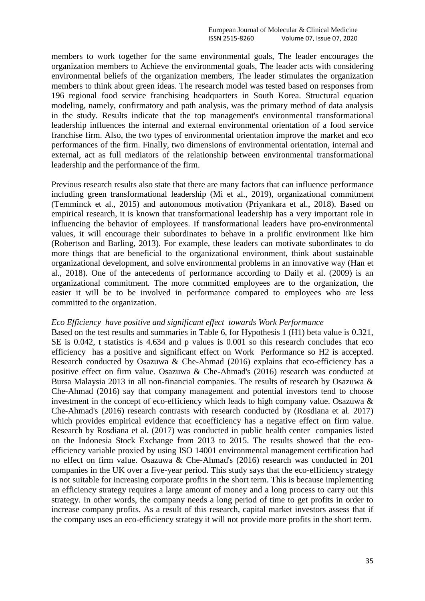members to work together for the same environmental goals, The leader encourages the organization members to Achieve the environmental goals, The leader acts with considering environmental beliefs of the organization members, The leader stimulates the organization members to think about green ideas. The research model was tested based on responses from 196 regional food service franchising headquarters in South Korea. Structural equation modeling, namely, confirmatory and path analysis, was the primary method of data analysis in the study. Results indicate that the top management's environmental transformational leadership influences the internal and external environmental orientation of a food service franchise firm. Also, the two types of environmental orientation improve the market and eco performances of the firm. Finally, two dimensions of environmental orientation, internal and external, act as full mediators of the relationship between environmental transformational leadership and the performance of the firm.

Previous research results also state that there are many factors that can influence performance including green transformational leadership (Mi et al., 2019), organizational commitment (Temminck et al., 2015) and autonomous motivation (Priyankara et al., 2018). Based on empirical research, it is known that transformational leadership has a very important role in influencing the behavior of employees. If transformational leaders have pro-environmental values, it will encourage their subordinates to behave in a prolific environment like him (Robertson and Barling, 2013). For example, these leaders can motivate subordinates to do more things that are beneficial to the organizational environment, think about sustainable organizational development, and solve environmental problems in an innovative way (Han et al., 2018). One of the antecedents of performance according to Daily et al. (2009) is an organizational commitment. The more committed employees are to the organization, the easier it will be to be involved in performance compared to employees who are less committed to the organization.

#### *Eco Efficiency have positive and significant effect towards Work Performance*

Based on the test results and summaries in Table 6, for Hypothesis 1 (H1) beta value is 0.321, SE is 0.042, t statistics is 4.634 and p values is 0.001 so this research concludes that eco efficiency has a positive and significant effect on Work Performance so H2 is accepted. Research conducted by Osazuwa & Che-Ahmad (2016) explains that eco-efficiency has a positive effect on firm value. Osazuwa & Che-Ahmad's (2016) research was conducted at Bursa Malaysia 2013 in all non-financial companies. The results of research by Osazuwa & Che-Ahmad (2016) say that company management and potential investors tend to choose investment in the concept of eco-efficiency which leads to high company value. Osazuwa & Che-Ahmad's (2016) research contrasts with research conducted by (Rosdiana et al. 2017) which provides empirical evidence that ecoefficiency has a negative effect on firm value. Research by Rosdiana et al. (2017) was conducted in public health center companies listed on the Indonesia Stock Exchange from 2013 to 2015. The results showed that the ecoefficiency variable proxied by using ISO 14001 environmental management certification had no effect on firm value. Osazuwa & Che-Ahmad's (2016) research was conducted in 201 companies in the UK over a five-year period. This study says that the eco-efficiency strategy is not suitable for increasing corporate profits in the short term. This is because implementing an efficiency strategy requires a large amount of money and a long process to carry out this strategy. In other words, the company needs a long period of time to get profits in order to increase company profits. As a result of this research, capital market investors assess that if the company uses an eco-efficiency strategy it will not provide more profits in the short term.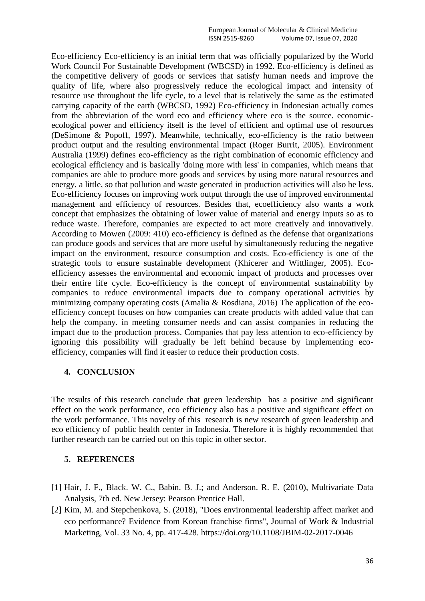Eco-efficiency Eco-efficiency is an initial term that was officially popularized by the World Work Council For Sustainable Development (WBCSD) in 1992. Eco-efficiency is defined as the competitive delivery of goods or services that satisfy human needs and improve the quality of life, where also progressively reduce the ecological impact and intensity of resource use throughout the life cycle, to a level that is relatively the same as the estimated carrying capacity of the earth (WBCSD, 1992) Eco-efficiency in Indonesian actually comes from the abbreviation of the word eco and efficiency where eco is the source. economicecological power and efficiency itself is the level of efficient and optimal use of resources (DeSimone & Popoff, 1997). Meanwhile, technically, eco-efficiency is the ratio between product output and the resulting environmental impact (Roger Burrit, 2005). Environment Australia (1999) defines eco-efficiency as the right combination of economic efficiency and ecological efficiency and is basically 'doing more with less' in companies, which means that companies are able to produce more goods and services by using more natural resources and energy. a little, so that pollution and waste generated in production activities will also be less. Eco-efficiency focuses on improving work output through the use of improved environmental management and efficiency of resources. Besides that, ecoefficiency also wants a work concept that emphasizes the obtaining of lower value of material and energy inputs so as to reduce waste. Therefore, companies are expected to act more creatively and innovatively. According to Mowen (2009: 410) eco-efficiency is defined as the defense that organizations can produce goods and services that are more useful by simultaneously reducing the negative impact on the environment, resource consumption and costs. Eco-efficiency is one of the strategic tools to ensure sustainable development (Khicerer and Wittlinger, 2005). Ecoefficiency assesses the environmental and economic impact of products and processes over their entire life cycle. Eco-efficiency is the concept of environmental sustainability by companies to reduce environmental impacts due to company operational activities by minimizing company operating costs (Amalia & Rosdiana, 2016) The application of the ecoefficiency concept focuses on how companies can create products with added value that can help the company. in meeting consumer needs and can assist companies in reducing the impact due to the production process. Companies that pay less attention to eco-efficiency by ignoring this possibility will gradually be left behind because by implementing ecoefficiency, companies will find it easier to reduce their production costs.

## **4. CONCLUSION**

The results of this research conclude that green leadership has a positive and significant effect on the work performance, eco efficiency also has a positive and significant effect on the work performance. This novelty of this research is new research of green leadership and eco efficiency of public health center in Indonesia. Therefore it is highly recommended that further research can be carried out on this topic in other sector.

#### **5. REFERENCES**

- [1] Hair, J. F., Black. W. C., Babin. B. J.; and Anderson. R. E. (2010), Multivariate Data Analysis, 7th ed. New Jersey: Pearson Prentice Hall.
- [2] Kim, M. and Stepchenkova, S. (2018), "Does environmental leadership affect market and eco performance? Evidence from Korean franchise firms", Journal of Work & Industrial Marketing, Vol. 33 No. 4, pp. 417-428. https://doi.org/10.1108/JBIM-02-2017-0046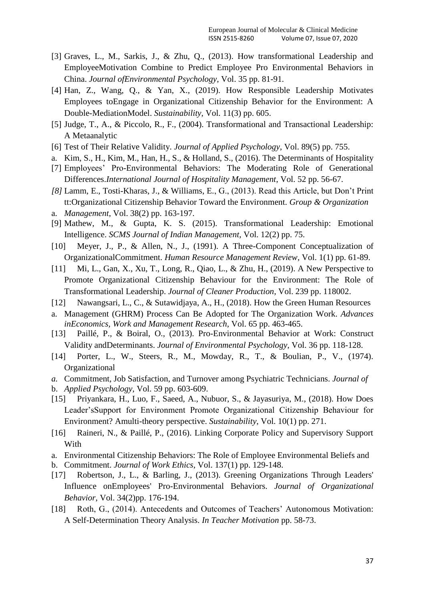- [3] Graves, L., M., Sarkis, J., & Zhu, Q., (2013). How transformational Leadership and EmployeeMotivation Combine to Predict Employee Pro Environmental Behaviors in China. *Journal ofEnvironmental Psychology*, Vol. 35 pp. 81-91.
- [4] Han, Z., Wang, Q., & Yan, X., (2019). How Responsible Leadership Motivates Employees toEngage in Organizational Citizenship Behavior for the Environment: A Double-MediationModel. *Sustainability*, Vol. 11(3) pp. 605.
- [5] Judge, T., A., & Piccolo, R., F., (2004). Transformational and Transactional Leadership: A Metaanalytic
- [6] Test of Their Relative Validity. *Journal of Applied Psychology*, Vol. 89(5) pp. 755.
- a. Kim, S., H., Kim, M., Han, H., S., & Holland, S., (2016). The Determinants of Hospitality
- [7] Employees' Pro-Environmental Behaviors: The Moderating Role of Generational Differences.*International Journal of Hospitality Management*, Vol. 52 pp. 56-67.
- *[8]* Lamm, E., Tosti-Kharas, J., & Williams, E., G., (2013). Read this Article, but Don't Print tt:Organizational Citizenship Behavior Toward the Environment. *Group & Organization*
- a. *Management*, Vol. 38(2) pp. 163-197.
- [9] Mathew, M., & Gupta, K. S. (2015). Transformational Leadership: Emotional Intelligence. *SCMS Journal of Indian Management*, Vol. 12(2) pp. 75.
- [10] Meyer, J., P., & Allen, N., J., (1991). A Three-Component Conceptualization of OrganizationalCommitment. *Human Resource Management Review*, Vol. 1(1) pp. 61-89.
- [11] Mi, L., Gan, X., Xu, T., Long, R., Qiao, L., & Zhu, H., (2019). A New Perspective to Promote Organizational Citizenship Behaviour for the Environment: The Role of Transformational Leadership. *Journal of Cleaner Production*, Vol. 239 pp. 118002.
- [12] Nawangsari, L., C., & Sutawidjaya, A., H., (2018). How the Green Human Resources
- a. Management (GHRM) Process Can Be Adopted for The Organization Work. *Advances inEconomics, Work and Management Research*, Vol. 65 pp. 463-465.
- [13] Paillé, P., & Boiral, O., (2013). Pro-Environmental Behavior at Work: Construct Validity andDeterminants. *Journal of Environmental Psychology*, Vol. 36 pp. 118-128.
- [14] Porter, L., W., Steers, R., M., Mowday, R., T., & Boulian, P., V., (1974). Organizational
- *a.* Commitment, Job Satisfaction, and Turnover among Psychiatric Technicians. *Journal of*
- b. *Applied Psychology*, Vol. 59 pp. 603-609.
- [15] Priyankara, H., Luo, F., Saeed, A., Nubuor, S., & Jayasuriya, M., (2018). How Does Leader'sSupport for Environment Promote Organizational Citizenship Behaviour for Environment? Amulti-theory perspective. *Sustainability*, Vol. 10(1) pp. 271.
- [16] Raineri, N., & Paillé, P., (2016). Linking Corporate Policy and Supervisory Support With
- a. Environmental Citizenship Behaviors: The Role of Employee Environmental Beliefs and
- b. Commitment. *Journal of Work Ethics*, Vol. 137(1) pp. 129-148.
- [17] Robertson, J., L., & Barling, J., (2013). Greening Organizations Through Leaders' Influence onEmployees' Pro-Environmental Behaviors. *Journal of Organizational Behavior*, Vol. 34(2)pp. 176-194.
- [18] Roth, G., (2014). Antecedents and Outcomes of Teachers' Autonomous Motivation: A Self-Determination Theory Analysis. *In Teacher Motivation* pp. 58-73.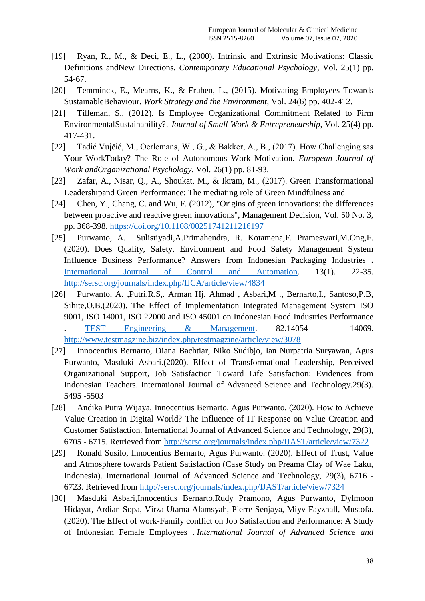- [19] Ryan, R., M., & Deci, E., L., (2000). Intrinsic and Extrinsic Motivations: Classic Definitions andNew Directions. *Contemporary Educational Psychology*, Vol. 25(1) pp. 54-67.
- [20] Temminck, E., Mearns, K., & Fruhen, L., (2015). Motivating Employees Towards SustainableBehaviour. *Work Strategy and the Environment*, Vol. 24(6) pp. 402-412.
- [21] Tilleman, S., (2012). Is Employee Organizational Commitment Related to Firm EnvironmentalSustainability?. *Journal of Small Work & Entrepreneurship*, Vol. 25(4) pp. 417-431.
- [22] Tadić Vujčić, M., Oerlemans, W., G., & Bakker, A., B., (2017). How Challenging sas Your WorkToday? The Role of Autonomous Work Motivation. *European Journal of Work andOrganizational Psychology*, Vol. 26(1) pp. 81-93.
- [23] Zafar, A., Nisar, Q., A., Shoukat, M., & Ikram, M., (2017). Green Transformational Leadershipand Green Performance: The mediating role of Green Mindfulness and
- [24] Chen, Y., Chang, C. and Wu, F. (2012), "Origins of green innovations: the differences between proactive and reactive green innovations", Management Decision, Vol. 50 No. 3, pp. 368-398.<https://doi.org/10.1108/00251741211216197>
- [25] Purwanto, A. Sulistiyadi,A.Primahendra, R. Kotamena,F. Prameswari,M.Ong,F. (2020). Does Quality, Safety, Environment and Food Safety Management System Influence Business Performance? Answers from Indonesian Packaging Industries **.**  [International Journal of Control and Automation.](http://sersc.org/journals/index.php/IJCA/index) 13(1). 22-35. <http://sersc.org/journals/index.php/IJCA/article/view/4834>
- [26] Purwanto, A. ,Putri,R.S,. Arman Hj. Ahmad , Asbari,M ., Bernarto,I., Santoso,P.B, Sihite,O.B.(2020). The Effect of Implementation Integrated Management System ISO 9001, ISO 14001, ISO 22000 and ISO 45001 on Indonesian Food Industries Performance . [TEST Engineering & Management.](http://www.testmagzine.biz/index.php/index) 82.14054 – 14069. <http://www.testmagzine.biz/index.php/testmagzine/article/view/3078>
- [27] Innocentius Bernarto, Diana Bachtiar, Niko Sudibjo, Ian Nurpatria Suryawan, Agus Purwanto, Masduki Asbari.(2020). Effect of Transformational Leadership, Perceived Organizational Support, Job Satisfaction Toward Life Satisfaction: Evidences from Indonesian Teachers. International Journal of Advanced Science and Technology.29(3). 5495 -5503
- [28] Andika Putra Wijaya, Innocentius Bernarto, Agus Purwanto. (2020). How to Achieve Value Creation in Digital World? The Influence of IT Response on Value Creation and Customer Satisfaction. International Journal of Advanced Science and Technology, 29(3), 6705 - 6715. Retrieved from<http://sersc.org/journals/index.php/IJAST/article/view/7322>
- [29] Ronald Susilo, Innocentius Bernarto, Agus Purwanto. (2020). Effect of Trust, Value and Atmosphere towards Patient Satisfaction (Case Study on Preama Clay of Wae Laku, Indonesia). International Journal of Advanced Science and Technology, 29(3), 6716 - 6723. Retrieved from<http://sersc.org/journals/index.php/IJAST/article/view/7324>
- [30] Masduki Asbari,Innocentius Bernarto,Rudy Pramono, Agus Purwanto, Dylmoon Hidayat, Ardian Sopa, Virza Utama Alamsyah, Pierre Senjaya, Miyv Fayzhall, Mustofa. (2020). The Effect of work-Family conflict on Job Satisfaction and Performance: A Study of Indonesian Female Employees . *International Journal of Advanced Science and*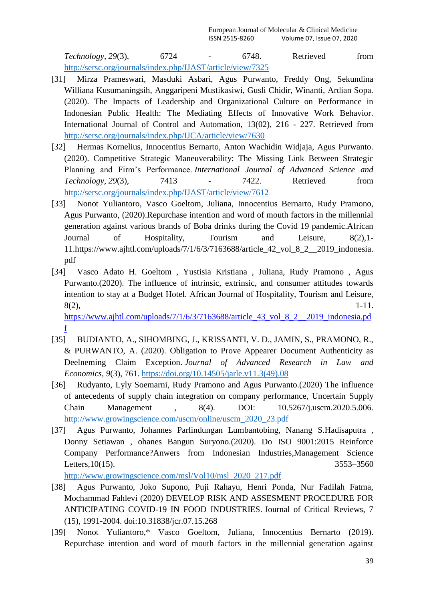*Technology*, *29*(3), 6724 - 6748. Retrieved from <http://sersc.org/journals/index.php/IJAST/article/view/7325>

- [31] Mirza Prameswari, Masduki Asbari, Agus Purwanto, Freddy Ong, Sekundina Williana Kusumaningsih, Anggaripeni Mustikasiwi, Gusli Chidir, Winanti, Ardian Sopa. (2020). The Impacts of Leadership and Organizational Culture on Performance in Indonesian Public Health: The Mediating Effects of Innovative Work Behavior. International Journal of Control and Automation, 13(02), 216 - 227. Retrieved from <http://sersc.org/journals/index.php/IJCA/article/view/7630>
- [32] Hermas Kornelius, Innocentius Bernarto, Anton Wachidin Widjaja, Agus Purwanto. (2020). Competitive Strategic Maneuverability: The Missing Link Between Strategic Planning and Firm's Performance. *International Journal of Advanced Science and Technology*, *29*(3), 7413 - 7422. Retrieved from <http://sersc.org/journals/index.php/IJAST/article/view/7612>
- [33] Nonot Yuliantoro, Vasco Goeltom, Juliana, Innocentius Bernarto, Rudy Pramono, Agus Purwanto, (2020).Repurchase intention and word of mouth factors in the millennial generation against various brands of Boba drinks during the Covid 19 pandemic.African Journal of Hospitality, Tourism and Leisure, 8(2),1- 11.https://www.ajhtl.com/uploads/7/1/6/3/7163688/article\_42\_vol\_8\_2\_\_2019\_indonesia. pdf
- [34] Vasco Adato H. Goeltom , Yustisia Kristiana , Juliana, Rudy Pramono , Agus Purwanto.(2020). The influence of intrinsic, extrinsic, and consumer attitudes towards intention to stay at a Budget Hotel. African Journal of Hospitality, Tourism and Leisure,  $8(2)$ , 1-11.

https://www.ajhtl.com/uploads/7/1/6/3/7163688/article 43 vol 8 2 2019 indonesia.pd [f](https://www.ajhtl.com/uploads/7/1/6/3/7163688/article_43_vol_8_2__2019_indonesia.pdf)

- [35] BUDIANTO, A., SIHOMBING, J., KRISSANTI, V. D., JAMIN, S., PRAMONO, R., & PURWANTO, A. (2020). Obligation to Prove Appearer Document Authenticity as Deelneming Claim Exception. *Journal of Advanced Research in Law and Economics*, *9*(3), 761. [https://doi.org/10.14505/jarle.v11.3\(49\).08](https://doi.org/10.14505/jarle.v11.3(49).08)
- [36] Rudyanto, Lyly Soemarni, Rudy Pramono and Agus Purwanto.(2020) The influence of antecedents of supply chain integration on company performance, Uncertain Supply Chain Management , 8(4). DOI: 10.5267/j.uscm.2020.5.006. [http://www.growingscience.com/uscm/online/uscm\\_2020\\_23.pdf](http://www.growingscience.com/uscm/online/uscm_2020_23.pdf)
- [37] Agus Purwanto, Johannes Parlindungan Lumbantobing, Nanang S.Hadisaputra , Donny Setiawan , ohanes Bangun Suryono.(2020). Do ISO 9001:2015 Reinforce Company Performance?Anwers from Indonesian Industries,Management Science Letters, 10(15). 3553–3560

[http://www.growingscience.com/msl/Vol10/msl\\_2020\\_217.pdf](http://www.growingscience.com/msl/Vol10/msl_2020_217.pdf)

- [38] Agus Purwanto, Joko Supono, Puji Rahayu, Henri Ponda, Nur Fadilah Fatma, Mochammad Fahlevi (2020) DEVELOP RISK AND ASSESMENT PROCEDURE FOR ANTICIPATING COVID-19 IN FOOD INDUSTRIES. Journal of Critical Reviews, 7 (15), 1991-2004. doi:10.31838/jcr.07.15.268
- [39] Nonot Yuliantoro,\* Vasco Goeltom, Juliana, Innocentius Bernarto (2019). Repurchase intention and word of mouth factors in the millennial generation against